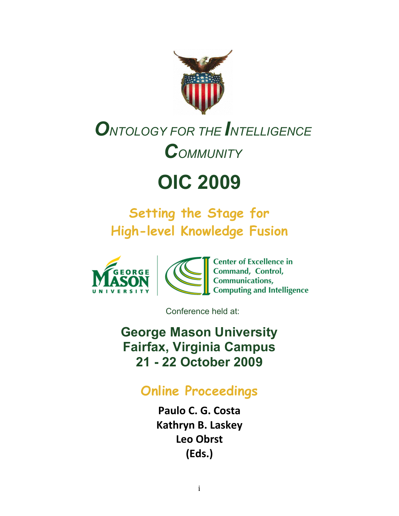

# **O**NTOLOGY FOR THE **I**NTELLIGENCE *COMMUNITY*

# **OIC 2009**

# **Setting the Stage for High-level Knowledge Fusion**



Conference held at:

**George Mason University Fairfax, Virginia Campus 21 - 22 October 2009**

## **Online Proceedings**

Paulo C. G. Costa **Kathryn B. Laskey Leo&Obrst (Eds.)**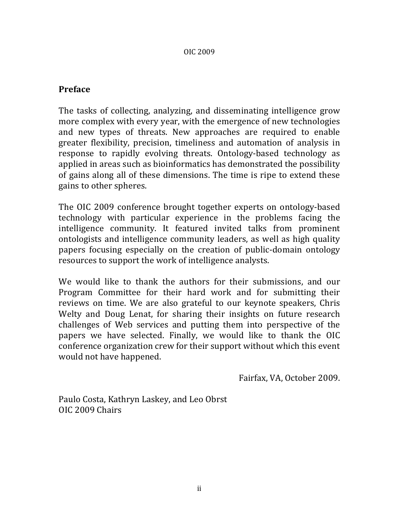#### OIC!2009

### **Preface**

The tasks of collecting, analyzing, and disseminating intelligence grow more complex with every year, with the emergence of new technologies and new types of threats. New approaches are required to enable greater flexibility, precision, timeliness and automation of analysis in response to rapidly evolving threats. Ontology-based technology as applied in areas such as bioinformatics has demonstrated the possibility of gains along all of these dimensions. The time is ripe to extend these gains to other spheres.

The OIC 2009 conference brought together experts on ontology-based technology with particular experience in the problems facing the intelligence community. It featured invited talks from prominent ontologists and intelligence community leaders, as well as high quality papers focusing especially on the creation of public-domain ontology resources to support the work of intelligence analysts.

We would like to thank the authors for their submissions, and our Program Committee for their hard work and for submitting their reviews on time. We are also grateful to our keynote speakers, Chris Welty and Doug Lenat, for sharing their insights on future research challenges of Web services and putting them into perspective of the papers we have selected. Finally, we would like to thank the OIC conference organization crew for their support without which this event would not have happened.

Fairfax, VA, October 2009.

Paulo Costa, Kathryn Laskey, and Leo Obrst OIC 2009 Chairs